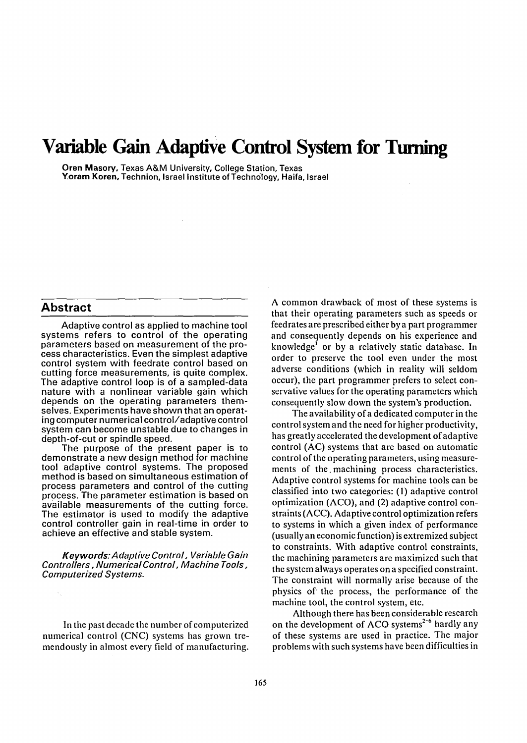# **Variable Gain Adaptive Control System for Turning**

**Oren Masory, Texas A&M University, College Station, Texas Yoram Koren,** Technion, Israel Institute of Techn01ogy, Haifa, Israel

#### **Abstract**

Adaptive control as applied to machine tool systems refers to control of the operating parameters based on measurement of the process characteristics. Even the simplest adaptive control system with feedrate control based on cutting force measurements, is quite complex. The adaptive control loop is of a sampled-data nature with a nonlinear variable gain which depends on the operating parameters themselves. Experiments have shown that an operating computer numerical control/adaptive control system can become unstable due to changes in depth-of-cut or spindle speed.

The purpose of the present paper is to demonstrate a new design method for machine tool adaptive control systems. The proposed method is based on simultaneous estimation of process parameters and control of the cutting process. The parameter estimation is based on available measurements of the cutting force. The estimator is used to modify the adaptive control controller gain in real-time in order to achieve an effective and stable system.

*Keywords: A daptive Control, Variable Gain Controllers, Numerical Control, Machine Tools, Computerized Systems.* 

In the past decade the number of computerized numerical control (CNC) systems has grown tremendously in almost every field of manufacturing. A common drawback of most of these systems is that their operating parameters such as speeds or feedrates are prescribed either by a part programmer and consequently depends on his experience and knowledge<sup>1</sup> or by a relatively static database. In order to preserve the tool even under the most adverse conditions (which in reality will seldom occur), the part programmer prefers to select conservative values for the operating parameters which consequently slow down the system's production.

The availability of a dedicated computer in the control system and the need for higher productivity, has greatly accelerated the development of adaptive control (AC) systems that are based on automatic control of the operating parameters, using measurements of the. machining process characteristics. Adaptive control systems for machine tools can be classified into two categories: (1) adaptive control optimization (ACO), and (2) adaptive control constraints (ACC). Adaptive control optimization refers to systems in which a given index of performance (usually an economic function) is extremized subject to constraints. With adaptive control constraints, the machining parameters are maximized such that the system always operates on a specified constraint. The constraint will normally arise because of the physics of the process, the performance of the machine tool, the control system, etc.

Although there has been considerable research on the development of ACO systems<sup>2-6</sup> hardly any of these systems are used in practice. The major problems with such systems have been difficulties in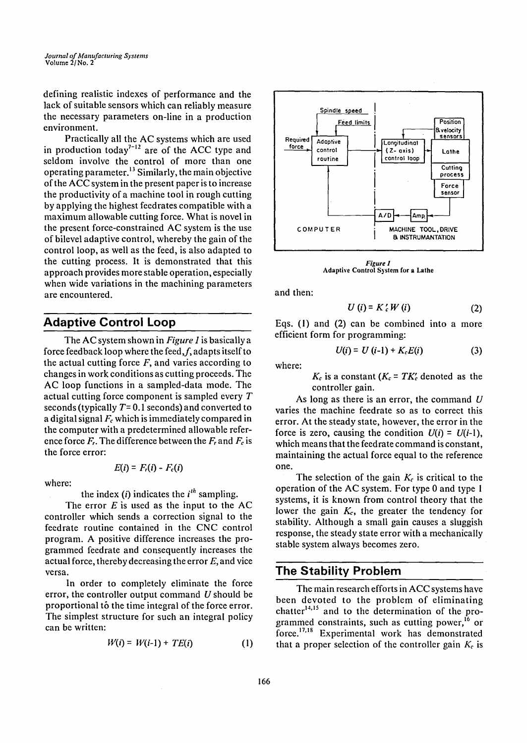defining realistic indexes of performance and the lack of suitable sensors which can reliably measure the necessary parameters on-line in a production environment.

Practically all the AC systems which are used in production today<sup> $7-12$ </sup> are of the ACC type and seldom involve the control of more than one operating parameter.<sup>13</sup> Similarly, the main objective of the ACC system in the present paper is to increase the productivity of a machine tool in rough cutting by applying the highest feedrates compatible with a maximum allowable cutting force. What is novel in the present force-constrained AC system is the use of bilevel adaptive control, whereby the gain of the control loop, as well as the feed, is also adapted to the cutting process. It is demonstrated that this approach provides more stable operation, especially when wide variations in the machining parameters are encountered.

## **Adaptive Control Loop**

The AC system shown in *Figure 1* is basically a force feedback loop where the feed,  $f$ , adapts itself to the actual cutting force  $F$ , and varies according to changes in work conditions as cutting proceeds. The AC loop functions in a sampled-data mode. The actual cutting force component is sampled every T seconds (typically  $T=0.1$  seconds) and converted to a digital signal  $F_c$  which is immediately compared in the computer with a predetermined allowable reference force  $F_r$ . The difference between the  $F_r$  and  $F_c$  is the force error:

where:

the index  $(i)$  indicates the  $i<sup>th</sup>$  sampling.

 $E(i) = F_i(i) - F_c(i)$ 

The error  $E$  is used as the input to the AC controller which sends a correction signal to the feedrate routine contained in the CNC control program. A positive difference increases the programmed feedrate and consequently increases the actual force, thereby decreasing the error  $E$ , and vice versa.

In order to completely eliminate the force error, the controller output command  $U$  should be proportional to the time integral of the force error. The simplest structure for such an integral policy can be written:

$$
W(i) = W(i-1) + TE(i) \tag{1}
$$



*Figure 1*  **Adaptive Control System for a Lathe** 

and then:

$$
U(i) = K'_{c}W(i)
$$
 (2)

Eqs. (1) and (2) can be combined into a more efficient form for programming:

$$
U(i) = U(i-1) + K_c E(i)
$$
 (3)

where:

 $K_c$  is a constant ( $K_c = T K_c'$  denoted as the controller gain.

As long as there is an error, the command  $U$ varies the machine feedrate so as to correct this error. At the steady state, however, the error in the force is zero, causing the condition  $U(i) = U(i-1)$ , which means that the feedrate command is constant, maintaining the actual force equal to the reference one.

The selection of the gain  $K_c$  is critical to the operation of the AC system. For type 0 and type I systems, it is known from control theory that the lower the gain  $K_c$ , the greater the tendency for stability. Although a small gain causes a sluggish response, the steady state error with a mechanically stable system always becomes zero.

#### **The Stability Problem**

Themain research efforts in ACC systems have been devoted to the problem of eliminating chatter $t^{14,15}$  and to the determination of the programmed constraints, such as cutting power,<sup>16</sup> or force.<sup>17,18</sup> Experimental work has demonstrated that a proper selection of the controller gain  $K_c$  is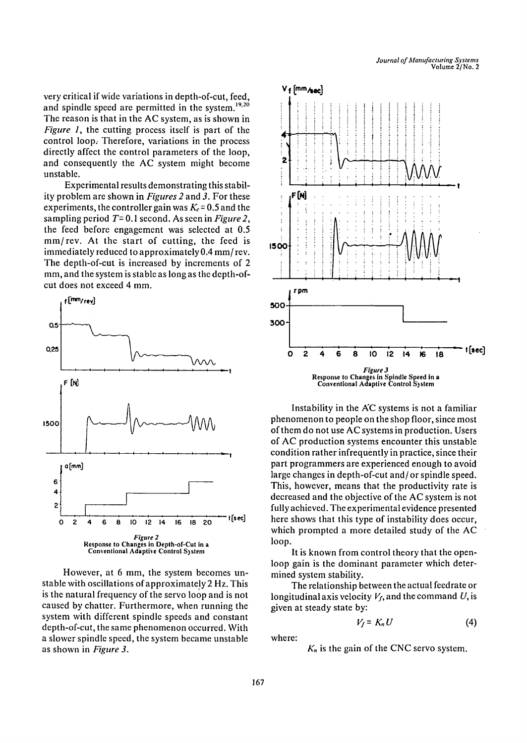very critical if wide variations in depth-of-cut, feed, and spindle speed are permitted in the system.<sup>19,20</sup> The reason is that in the AC system, as is shown in *Figure 1,* the cutting process itself is part of the control loop.. Therefore, variations in the process directly affect the control parameters of the loop, and consequently the AC system might become unstable.

Experimental results demonstrating this stability problem are shown in *Figures 2* and 3. For these experiments, the controller gain was  $K_c = 0.5$  and the sampling period T= 0.1 second. As seen in *Figure2,*  the feed before engagement was selected at 0.5 mm/rev. At the start of cutting, the feed is immediately reduced to approximately 0.4 mm/rev. The depth-of-cut is increased by increments of 2 mm, and the system is stable as long as the depth-ofcut does not exceed 4 mm.



However, at 6 mm, the system becomes unstable with oscillations of approximately 2 Hz. This is the natural frequency of the servo loop and is not caused by chatter. Furthermore, when running the system with different spindle speeds and constant depth-of-cut, the same phenomenon occurred. With a slower spindle speed, the system became unstable as shown in *Figure 3.* 



Conventional Adaptive Control System

Instability in the AC systems is not a familiar phenomenon to people on the shop floor, since most of them do not use AC systems in production. Users of AC production systems encounter this unstable condition rather infrequently in practice, since their part programmers are experienced enough to avoid large changes in depth-of-cut and/or spindle speed. This, however, means that the productivity rate is decreased and the objective of the AC system is not fully achieved. The experimental evidence presented here shows that this type of instability does occur, which prompted a more detailed study of the AC loop.

It is known from control theory that the openloop gain is the dominant parameter which determined system stability.

The relationship between the actual feedrate or longitudinal axis velocity  $V_f$ , and the command U, is given at steady state by:

$$
V_f = K_n U \tag{4}
$$

where:

 $K_n$  is the gain of the CNC servo system.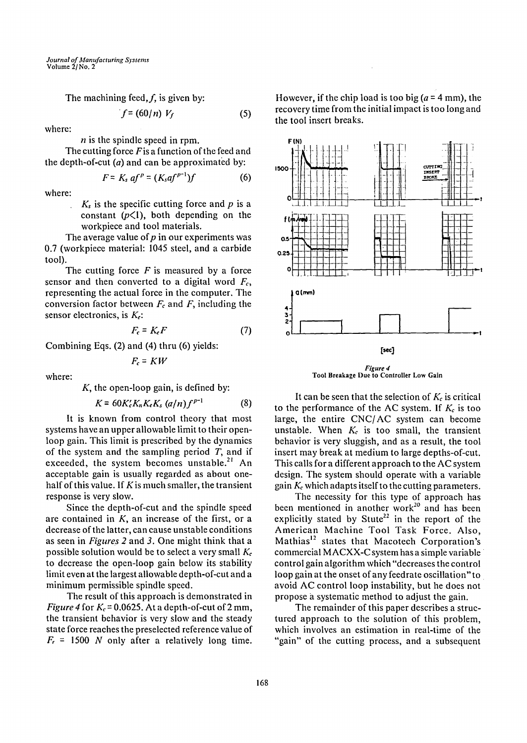The machining feed,  $f$ , is given by:

$$
f = (60/n) V_f \tag{5}
$$

where:

 $n$  is the spindle speed in rpm.

The cutting force  $F$  is a function of the feed and the depth-of-cut  $(a)$  and can be approximated by:

$$
F = K_s \text{ af }^p = (K_s \text{af}^{p-1})f \tag{6}
$$

where:

 $K<sub>s</sub>$  is the specific cutting force and p is a constant  $(p<1)$ , both depending on the workpiece and tool materials.

The average value of  $p$  in our experiments was 0.7 (workpiece material: 1045 steel, and a carbide tool).

The cutting force  $F$  is measured by a force sensor and then converted to a digital word  $F<sub>c</sub>$ , representing the actual force in the computer. The conversion factor between  $F_c$  and  $F$ , including the sensor electronics, is  $K_{\epsilon}$ :

$$
F_c = K_e F \tag{7}
$$

Combining Eqs. (2) and (4) thru (6) yields:

$$
F_c = KW
$$

where:

 $K$ , the open-loop gain, is defined by:

$$
K = 60K_c'K_nK_cK_s (a/n)f^{p-1}
$$
 (8)

It is known from control theory that most systems have an upper allowable limit to their openloop gain. This limit is prescribed by the dynamics of the system and the sampling period  $T$ , and if exceeded, the system becomes unstable.<sup>21</sup> An acceptable gain is usually regarded as about onehalf of this value. If K is much smaller, the transient response is very slow.

Since the depth-of-cut and the spindle speed are contained in  $K$ , an increase of the first, or a decrease of the latter, can cause unstable conditions as seen in *Figures 2* and 3. One might think that a possible solution would be to select a very small  $K_c$ to decrease the open-loop gain below its stability limit even at the largest allowable depth-of-cut and a minimum permissible spindle speed.

The result of this approach is demonstrated in *Figure 4* for  $K_c = 0.0625$ . At a depth-of-cut of 2 mm, the transient behavior is very slow and the steady state force reaches the preselected reference value of  $F_r = 1500$  N only after a relatively long time.

However, if the chip load is too big  $(a = 4$  mm), the recovery time from the initial impact is too long and the tool insert breaks.



Tool Breakage Due **to Controller Low** Gain

It can be seen that the selection of  $K_c$  is critical to the performance of the AC system. If  $K_c$  is too large, the entire CNC/AC system can become unstable. When  $K_c$  is too small, the transient behavior is very sluggish, and as a result, the tool insert may break at medium to large depths-of-cut. This calls for a different approach to the AC system design. The system should operate with a variable gain  $K_c$  which adapts itself to the cutting parameters.

The necessity for this type of approach has been mentioned in another work<sup>20</sup> and has been explicitly stated by Stute<sup>22</sup> in the report of the American Machine Tool Task Force. Also, Mathias<sup>12</sup> states that Macotech Corporation's commercial MACXX-C system has a simple variable control gain algorithm which "decreases the control loop gain at the onset of any feedrate oscillation" to avoid AC control loop instability, but he does not propose a systematic method to adjust the gain.

The remainder of this paper describes a structured approach to the solution of this problem, which involves an estimation in real-time of the "gain" of the cutting process, and a subsequent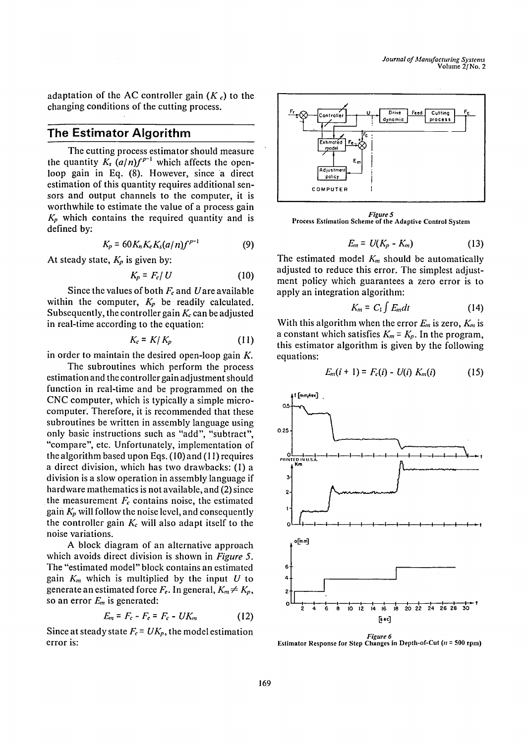adaptation of the AC controller gain  $(K_c)$  to the changing conditions of the cutting process.

## **The Estimator Algorithm**

The cutting process estimator should measure the quantity  $K_s$   $\left(\frac{a}{n}\right)f^{p-1}$  which affects the openloop gain in Eq. (8). However, since a direct estimation of this quantity requires additional sensors and output channels to the computer, it is worthwhile to estimate the value of a process gain *Kp* which contains the required quantity and is defined by:

$$
K_p = 60 K_n K_e K_s (a/n) f^{p-1}
$$
 (9)

At steady state,  $K_p$  is given by:

$$
K_p = F_c / U \tag{10}
$$

Since the values of both  $F_c$  and Uare available within the computer,  $K_p$  be readily calculated. Subsequently, the controller gain  $K_c$  can be adjusted in real-time according to the equation:

$$
K_c = K/K_p \tag{11}
$$

in order to maintain the desired open-loop gain  $K$ .

The subroutines which perform the process estimation and the controller gain adjustment should function in real-time and be programmed on the CNC computer, which is typically a simple microcomputer: Therefore, it is recommended that these subroutines be written in assembly language using only basic instructions such as "add", "subtract", "compare", etc. Unfortunately, implementation of the algorithm based upon Eqs. (10) and (11) requires a direct division, which has two drawbacks: (1) a division is a slow operation in assembly language if hardware mathematics is not available, and (2) since the measurement  $F_c$  contains noise, the estimated gain  $K_p$  will follow the noise level, and consequently the controller gain  $K_c$  will also adapt itself to the noise variations.

A block diagram of an alternative approach which avoids direct division is shown in *Figure 5.*  The "estimated model" block contains an estimated gain  $K_m$  which is multiplied by the input  $U$  to generate an estimated force  $F_e$ . In general,  $K_m \neq K_p$ , so an error *Em* is generated:

$$
E_m = F_c - F_e = F_c - UK_m \tag{12}
$$

Since at steady state  $F_c = UK_p$ , the model estimation error is:



*Figure 5*  **Process** Estimation Scheme **of the Adaptive Control** System

$$
E_m = U(K_p - K_m) \tag{13}
$$

The estimated model  $K_m$  should be automatically adjusted to reduce this error. The simplest adjustment policy which guarantees a zero error is to apply an integration algorithm:

$$
K_m = C_1 \int E_m dt
$$
 (14)

With this algorithm when the error  $E_m$  is zero,  $K_m$  is a constant which satisfies  $K_m = K_p$ . In the program, this estimator algorithm is given by the following equations:

$$
E_m(i + 1) = F_c(i) - U(i) K_m(i)
$$
 (15)



Estimator Response for Step Changes in Depth-of-Cut (n = 500 rpm)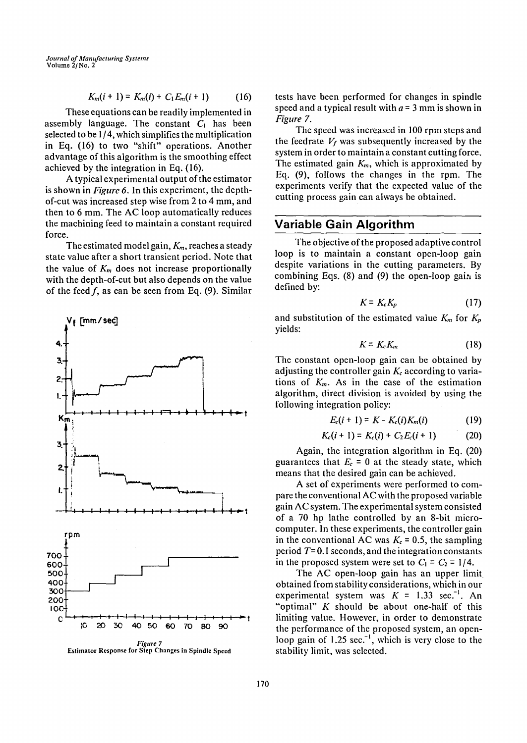$$
K_m(i + 1) = K_m(i) + C_1 E_m(i + 1)
$$
 (16)

These equations can be readily implemented in assembly language. The constant  $C_1$  has been selected to be 1/4, which simplifies the multiplication in Eq. (16) to two "shift" operations. Another advantage of this algorithm is the smoothing effect achieved by the integration in Eq. (16).

A typical experimental output of the estimator is shown in *Figure 6.* In this experiment, the depthof-cut was increased step wise from 2 to 4 mm, and then to 6 mm. The AC loop automatically reduces the machining feed to maintain a constant required force.

The estimated model gain,  $K_m$ , reaches a steady state value after a short transient period. Note that the value of  $K<sub>m</sub>$  does not increase proportionally with the depth-of-cut but also depends on the value of the feed  $f$ , as can be seen from Eq. (9). Similar



*Figure 7* **Estimator Response for Step Changes** in Spindle **Speed** 

tests have been performed for changes in spindle speed and a typical result with  $a = 3$  mm is shown in *Figure 7.* 

The speed was increased in 100 rpm steps and the feedrate  $V_f$  was subsequently increased by the system in order to maintain a constant cutting force. The estimated gain *Km,* which is approximated by Eq. (9), follows the changes in the rpm. The experiments verify that the expected value of the cutting process gain can always be obtained.

## **Variable Gain Algorithm**

The objective of the proposed adaptive control loop is to maintain a constant open-loop gain despite variations in the cutting parameters. By combining Eqs.  $(8)$  and  $(9)$  the open-loop gain is defined by:

$$
K = K_c K_p \tag{17}
$$

and substitution of the estimated value  $K_m$  for  $K_p$ yields:

$$
K = K_c K_m \tag{18}
$$

The constant open-loop gain can be obtained by adjusting the controller gain  $K_c$  according to variations of *Km.* As in the case of the estimation algorithm, direct division is avoided by using the following integration policy:

$$
E_c(i + 1) = K - K_c(i)K_m(i)
$$
 (19)

$$
K_c(i + 1) = K_c(i) + C_2 E_c(i + 1)
$$
 (20)

Again, the integration algorithm in Eq. (20) guarantees that  $E_c = 0$  at the steady state, which means that the desired gain can be achieved.

A set of experiments were performed to compare the conventional AC with the proposed variable gain AC system. The experimental system consisted of a 70 hp lathe controlled by an 8-bit microcomputer. In these experiments, the controller gain in the conventional AC was  $K_c = 0.5$ , the sampling period  $T=0.1$  seconds, and the integration constants in the proposed system were set to  $C_1 = C_2 = 1/4$ .

The AC open-loop gain has an upper limit obtained from stability considerations, which in our experimental system was  $K = 1.33 \text{ sec}^{-1}$ . An "optimal"  $K$  should be about one-half of this limiting value. However, in order to demonstrate the performance of the proposed system, an openloop gain of  $1.25$  sec.<sup>-1</sup>, which is very close to the stability limit, was selected.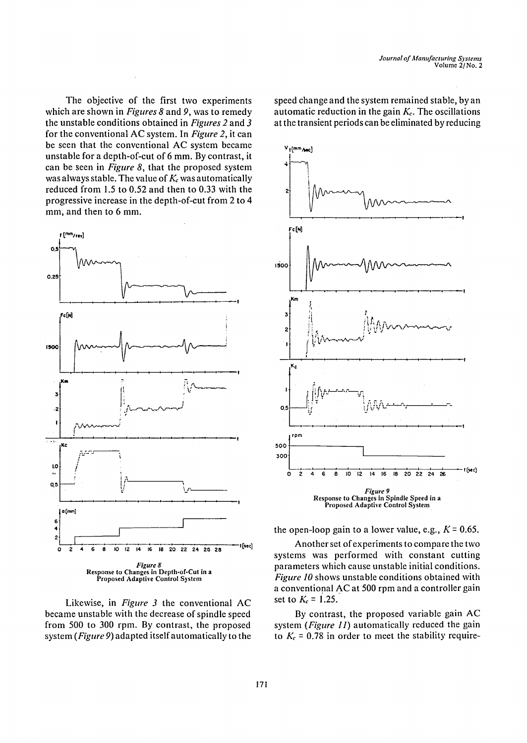**The objective of the first two experiments which are shown in** *Figures 8* **and 9, was to remedy the unstable conditions obtained in** *Figures 2* **and 3 for the conventional AC system. In** *Figure 2,* **it can be seen that the conventional AC system became unstable for a depth-of-cut of 6 mm. By contrast, it can be seen in** *Figure 8,* **that the proposed system**  was always stable. The value of  $K_c$  was automatically **reduced from 1.5 to 0.52 and then to 0.33 with the progressive increase in the depth-of-cut from 2 to 4 mm, and then to 6 mm.** 



**Likewise, in** *Figure 3* **the conventional AC became unstable with the decrease of spindle speed from 500 to 300 rpm. By contrast, the proposed system** *(Figure 9)* **adapted itself automatically to the** 

**speed change and the system remained stable, by an**  automatic reduction in the gain  $K_c$ . The oscillations **at the transient periods can be eliminated by reducing** 



the open-loop gain to a lower value, e.g.,  $K = 0.65$ .

**Another set of experiments to compare the two systems was performed with constant cutting parameters which cause unstable initial conditions.**  *Figure I0* **shows unstable conditions obtained with a conventional AC at 500 rpm and a controller gain**  set to  $K_c = 1.25$ .

**By contrast, the proposed variable gain AC system** *(Figure 11)* **automatically reduced the gain**  to  $K_c = 0.78$  in order to meet the stability require-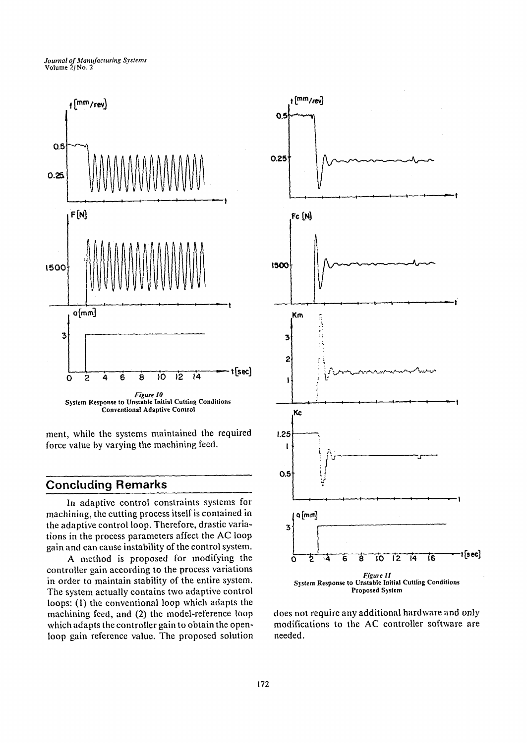



ment, while the systems maintained the required force value by varying the machining feed.

## **Concluding Remarks**

In adaptive control constraints systems for machining, the cutting process itself is contained in the adaptive control loop. Therefore, drastic variations in the process parameters affect the AC loop gain and can cause instability of the control system.

A method is proposed for modifying the controller gain according to the process variations in order to maintain stability of the entire system. The system actually contains two adaptive control loops: (1) the conventional loop which adapts the machining feed, and (2) the model-reference loop which adapts the controller gain to obtain the openloop gain reference value. The proposed solution



does not require any additional hardware and only modifications to the AC controller software are needed.